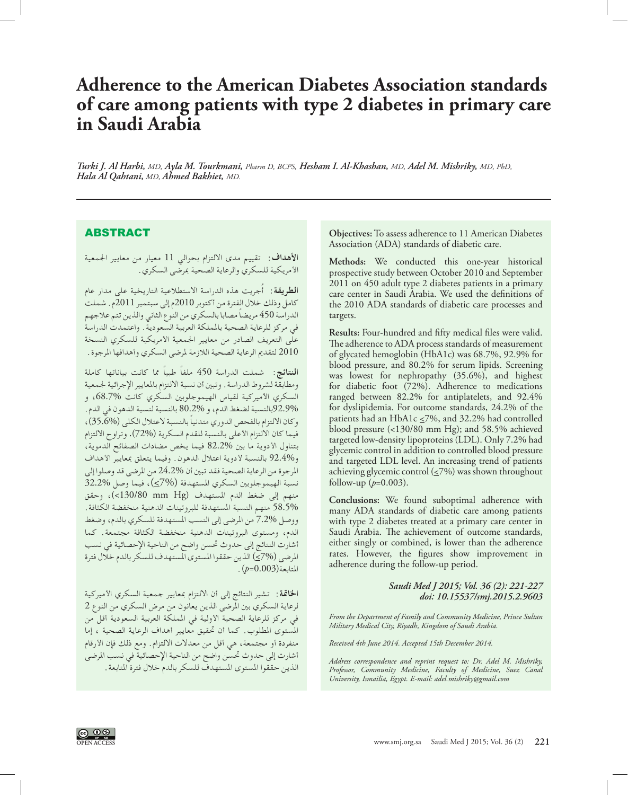## **Adherence to the American Diabetes Association standards of care among patients with type 2 diabetes in primary care in Saudi Arabia**

*Turki J. Al Harbi, MD, Ayla M. Tourkmani, Pharm D, BCPS, Hesham I. Al-Khashan, MD, Adel M. Mishriky, MD, PhD, Hala Al Qahtani, MD, Ahmed Bakhiet, MD.*

## ABSTRACT

**األهداف:** تقييم مدى االلتزام بحوالي 11 معيار من معايير اجلمعية األمريكية للسكري والرعاية الصحية مبرضى السكري.

ُجريت هذه الدراسة االستطالعية التاريخية على مدار عام **الطريقة:** أ كامل وذلك خالل الفترة من أكتوبر 2010م إلى سبتمبر 2011م. شملت الدراسة 450 ً مريضا مصابا بالسكري من النوع الثاني والذين تتم عالجهم في مركز للرعاية الصحية باململكة العربية السعودية. واعتمدت الدراسة على التعريف الصادر من معايير اجلمعية األمريكية للسكري النسخة 2010 لتقدمي الرعاية الصحية الالزمة ملرضى السكري وأهدافها املرجوة.

**النتائج:** شملت الدراسة 450 ً ملفا ً طبيا مما كانت بياناتها كاملة ومطابقة لشروط الدراسة. وتبني أن نسبة االلتزام باملعايير اإلجرائية جلمعية السكري األميركية لقياس الهيموجلوبني السكري كانت ،68.7% و 92.9%بالنسبة لضغط الدم، و 80.2% بالنسبة لنسبة الدهون في الدم. وكان االلتزام بالفحص الدوري ً متدنيا بالنسبة العتالل الكلى (35.6%)، فيما كان الالتزام الأعلى بالنسبة للقدم السكرية (72%). وتراوح الالتزام بتناول األدوية ما بني 82.2% فيما يخص مضادات الصفائح الدموية، و92.4% بالنسبة لأدوية اعتلال الدهون. وفيما يتعلق بمعايير الأهداف املرجوة من الرعاية الصحية فقد تبني أن 24.2% من املرضى قد وصلوا إلى نسبة الهيموجلوبني السكري املستهدفة (7%>)، فيما وصل 32.2% منهم إلى ضغط الدم المستهدف (130/80 mm Hg)، وحقق 58.5% منهم النسبة املستهدفة للبروتينات الدهنية منخفضة الكثافة. ووصل 7.2% من املرضى إلى النسب املستهدفة للسكري بالدم، وضغط الدم، ومستوى البروتينات الدهنية منخفضة الكثافة مجتمعة. كما أشارت النتائج إلى حدوث حتسن واضح من الناحية اإلحصائية في نسب المرضى (7%) الذين حققوا المستوى المستهدف للسكر بالدم خالال فترة املتابعة(0.003=*p*(.

**اخلامتة:** تشير النتائج إلى أن االلتزام مبعايير جمعية السكري األميركية لرعاية السكري بني املرضى الذين يعانون من مرض السكري من النوع 2 في مركز للرعاية الصحية األولية في اململكة العربية السعودية أقل من املستوى املطلوب. كما أن حتقيق معايير أهداف الرعاية الصحية ، إما منفردة أو مجتمعة، هي أقل من معدالت االلتزام. ومع ذلك فإن األرقام أشارت إلى حدوث حتسن واضح من الناحية اإلحصائية في نسب املرضى الذين حققوا املستوى املستهدف للسكر بالدم خالل فترة املتابعة. **Objectives:** To assess adherence to 11 American Diabetes Association (ADA) standards of diabetic care.

**Methods:** We conducted this one-year historical prospective study between October 2010 and September 2011 on 450 adult type 2 diabetes patients in a primary care center in Saudi Arabia. We used the definitions of the 2010 ADA standards of diabetic care processes and targets.

**Results:** Four-hundred and fifty medical files were valid. The adherence to ADA process standards of measurement of glycated hemoglobin (HbA1c) was 68.7%, 92.9% for blood pressure, and 80.2% for serum lipids. Screening was lowest for nephropathy (35.6%), and highest for diabetic foot (72%). Adherence to medications ranged between 82.2% for antiplatelets, and 92.4% for dyslipidemia. For outcome standards, 24.2% of the patients had an HbA1c  $\leq$ 7%, and 32.2% had controlled blood pressure (<130/80 mm Hg); and 58.5% achieved targeted low-density lipoproteins (LDL). Only 7.2% had glycemic control in addition to controlled blood pressure and targeted LDL level. An increasing trend of patients achieving glycemic control  $(\leq 7\%)$  was shown throughout follow-up (*p*=0.003).

**Conclusions:** We found suboptimal adherence with many ADA standards of diabetic care among patients with type 2 diabetes treated at a primary care center in Saudi Arabia. The achievement of outcome standards, either singly or combined, is lower than the adherence rates. However, the figures show improvement in adherence during the follow-up period.

> *Saudi Med J 2015; Vol. 36 (2): 221-227 doi: 10.15537/smj.2015.2.9603*

*From the Department of Family and Community Medicine, Prince Sultan Military Medical City, Riyadh, Kingdom of Saudi Arabia.*

*Received 4th June 2014. Accepted 15th December 2014.*

*Address correspondence and reprint request to: Dr. Adel M. Mishriky, Professor, Community Medicine, Faculty of Medicine, Suez Canal University, Ismailia, Egypt. E-mail: adel.mishriky@gmail.com*

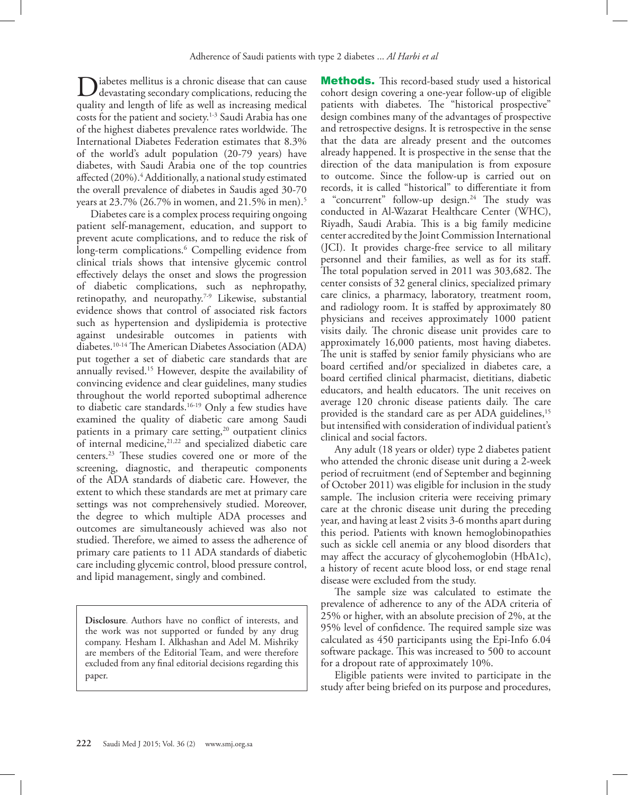Diabetes mellitus is a chronic disease that can cause<br>devastating secondary complications, reducing the<br>nucling and langely of life second as increasing medial quality and length of life as well as increasing medical costs for the patient and society.<sup>1-3</sup> Saudi Arabia has one of the highest diabetes prevalence rates worldwide. The International Diabetes Federation estimates that 8.3% of the world's adult population (20-79 years) have diabetes, with Saudi Arabia one of the top countries affected (20%)[.4](#page-5-2) Additionally, a national study estimated the overall prevalence of diabetes in Saudis aged 30-70 years at 23.7% (26.7% in women, and 21.5% in men)[.5](#page-5-3)

Diabetes care is a complex process requiring ongoing patient self-management, education, and support to prevent acute complications, and to reduce the risk of long-term complications.<sup>[6](#page-5-4)</sup> Compelling evidence from clinical trials shows that intensive glycemic control effectively delays the onset and slows the progression of diabetic complications, such as nephropathy, retinopathy, and neuropathy.[7-](#page-6-0)[9](#page-6-1) Likewise, substantial evidence shows that control of associated risk factors such as hypertension and dyslipidemia is protective against undesirable outcomes in patients with diabetes[.10-](#page-6-2)[14](#page-6-3) The American Diabetes Association (ADA) put together a set of diabetic care standards that are annually revised[.15](#page-6-4) However, despite the availability of convincing evidence and clear guidelines, many studies throughout the world reported suboptimal adherence to diabetic care standards.[16](#page-6-5)[-19](#page-6-6) Only a few studies have examined the quality of diabetic care among Saudi patients in a primary care setting, $20$  outpatient clinics of internal medicine,<sup>21,22</sup> and specialized diabetic care centers.[23](#page-6-10) These studies covered one or more of the screening, diagnostic, and therapeutic components of the ADA standards of diabetic care. However, the extent to which these standards are met at primary care settings was not comprehensively studied. Moreover, the degree to which multiple ADA processes and outcomes are simultaneously achieved was also not studied. Therefore, we aimed to assess the adherence of primary care patients to 11 ADA standards of diabetic care including glycemic control, blood pressure control, and lipid management, singly and combined.

**Disclosure**. Authors have no conflict of interests, and the work was not supported or funded by any drug company. Hesham I. Alkhashan and Adel M. Mishriky are members of the Editorial Team, and were therefore excluded from any final editorial decisions regarding this paper.

Methods. This record-based study used a historical cohort design covering a one-year follow-up of eligible patients with diabetes. The "historical prospective" design combines many of the advantages of prospective and retrospective designs. It is retrospective in the sense that the data are already present and the outcomes already happened. It is prospective in the sense that the direction of the data manipulation is from exposure to outcome. Since the follow-up is carried out on records, it is called "historical" to differentiate it from a "concurrent" follow-up design.<sup>24</sup> The study was conducted in Al-Wazarat Healthcare Center (WHC), Riyadh, Saudi Arabia. This is a big family medicine center accredited by the Joint Commission International (JCI). It provides charge-free service to all military personnel and their families, as well as for its staff. The total population served in 2011 was 303,682. The center consists of 32 general clinics, specialized primary care clinics, a pharmacy, laboratory, treatment room, and radiology room. It is staffed by approximately 80 physicians and receives approximately 1000 patient visits daily. The chronic disease unit provides care to approximately 16,000 patients, most having diabetes. The unit is staffed by senior family physicians who are board certified and/or specialized in diabetes care, a board certified clinical pharmacist, dietitians, diabetic educators, and health educators. The unit receives on average 120 chronic disease patients daily. The care provided is the standard care as per ADA guidelines,<sup>15</sup> but intensified with consideration of individual patient's clinical and social factors.

Any adult (18 years or older) type 2 diabetes patient who attended the chronic disease unit during a 2-week period of recruitment (end of September and beginning of October 2011) was eligible for inclusion in the study sample. The inclusion criteria were receiving primary care at the chronic disease unit during the preceding year, and having at least 2 visits 3-6 months apart during this period. Patients with known hemoglobinopathies such as sickle cell anemia or any blood disorders that may affect the accuracy of glycohemoglobin (HbA1c), a history of recent acute blood loss, or end stage renal disease were excluded from the study.

The sample size was calculated to estimate the prevalence of adherence to any of the ADA criteria of 25% or higher, with an absolute precision of 2%, at the 95% level of confidence. The required sample size was calculated as 450 participants using the Epi-Info 6.04 software package. This was increased to 500 to account for a dropout rate of approximately 10%.

Eligible patients were invited to participate in the study after being briefed on its purpose and procedures,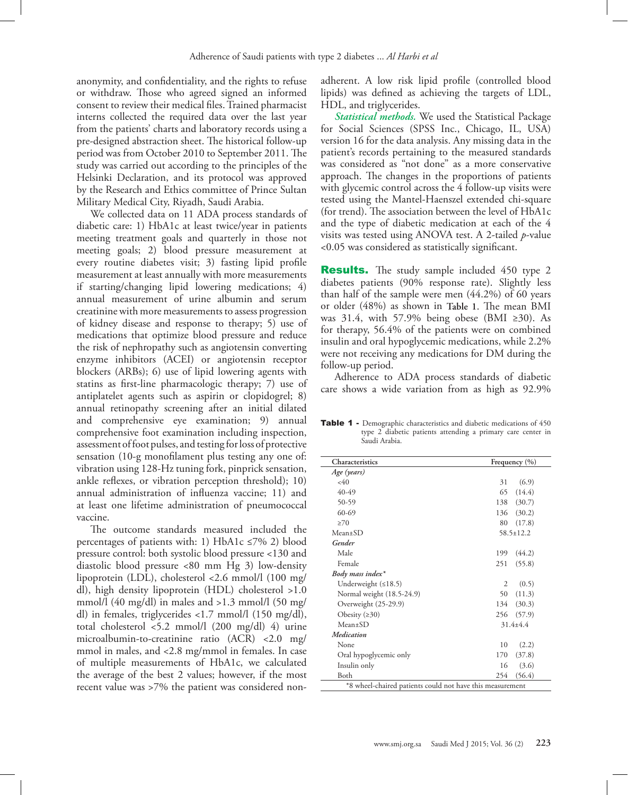anonymity, and confidentiality, and the rights to refuse or withdraw. Those who agreed signed an informed consent to review their medical files. Trained pharmacist interns collected the required data over the last year from the patients' charts and laboratory records using a pre-designed abstraction sheet. The historical follow-up period was from October 2010 to September 2011. The study was carried out according to the principles of the Helsinki Declaration, and its protocol was approved by the Research and Ethics committee of Prince Sultan Military Medical City, Riyadh, Saudi Arabia.

We collected data on 11 ADA process standards of diabetic care: 1) HbA1c at least twice/year in patients meeting treatment goals and quarterly in those not meeting goals; 2) blood pressure measurement at every routine diabetes visit; 3) fasting lipid profile measurement at least annually with more measurements if starting/changing lipid lowering medications; 4) annual measurement of urine albumin and serum creatinine with more measurements to assess progression of kidney disease and response to therapy; 5) use of medications that optimize blood pressure and reduce the risk of nephropathy such as angiotensin converting enzyme inhibitors (ACEI) or angiotensin receptor blockers (ARBs); 6) use of lipid lowering agents with statins as first-line pharmacologic therapy; 7) use of antiplatelet agents such as aspirin or clopidogrel; 8) annual retinopathy screening after an initial dilated and comprehensive eye examination; 9) annual comprehensive foot examination including inspection, assessment of foot pulses, and testing for loss of protective sensation (10-g monofilament plus testing any one of: vibration using 128-Hz tuning fork, pinprick sensation, ankle reflexes, or vibration perception threshold); 10) annual administration of influenza vaccine; 11) and at least one lifetime administration of pneumococcal vaccine.

The outcome standards measured included the percentages of patients with: 1) HbA1c  $\leq$ 7% 2) blood pressure control: both systolic blood pressure <130 and diastolic blood pressure <80 mm Hg 3) low-density lipoprotein (LDL), cholesterol <2.6 mmol/l (100 mg/ dl), high density lipoprotein (HDL) cholesterol >1.0 mmol/l (40 mg/dl) in males and >1.3 mmol/l (50 mg/ dl) in females, triglycerides <1.7 mmol/l (150 mg/dl), total cholesterol <5.2 mmol/l (200 mg/dl) 4) urine microalbumin-to-creatinine ratio (ACR) <2.0 mg/ mmol in males, and <2.8 mg/mmol in females. In case of multiple measurements of HbA1c, we calculated the average of the best 2 values; however, if the most recent value was >7% the patient was considered non-

adherent. A low risk lipid profile (controlled blood lipids) was defined as achieving the targets of LDL, HDL, and triglycerides.

*Statistical methods.* We used the Statistical Package for Social Sciences (SPSS Inc., Chicago, IL, USA) version 16 for the data analysis. Any missing data in the patient's records pertaining to the measured standards was considered as "not done" as a more conservative approach. The changes in the proportions of patients with glycemic control across the 4 follow-up visits were tested using the Mantel-Haenszel extended chi-square (for trend). The association between the level of HbA1c and the type of diabetic medication at each of the 4 visits was tested using ANOVA test. A 2-tailed *p*-value <0.05 was considered as statistically significant.

**Results.** The study sample included 450 type 2 diabetes patients (90% response rate). Slightly less than half of the sample were men (44.2%) of 60 years or older (48%) as shown in **Table 1**. The mean BMI was 31.4, with 57.9% being obese (BMI ≥30). As for therapy, 56.4% of the patients were on combined insulin and oral hypoglycemic medications, while 2.2% were not receiving any medications for DM during the follow-up period.

Adherence to ADA process standards of diabetic care shows a wide variation from as high as 92.9%

Table 1 - Demographic characteristics and diabetic medications of 450 type 2 diabetic patients attending a primary care center in Saudi Arabia.

| Characteristics                                           |     | Frequency $(\% )$ |  |
|-----------------------------------------------------------|-----|-------------------|--|
| Age (years)                                               |     |                   |  |
| $<$ 40                                                    | 31  | (6.9)             |  |
| $40-49$                                                   | 65  | (14.4)            |  |
| 50-59                                                     | 138 | (30.7)            |  |
| $60 - 69$                                                 |     | 136 (30.2)        |  |
| >70                                                       | 80  | (17.8)            |  |
| $Mean+SD$                                                 |     | $58.5 \pm 12.2$   |  |
| Gender                                                    |     |                   |  |
| Male                                                      | 199 | (44.2)            |  |
| Female                                                    | 251 | (55.8)            |  |
| Body mass index*                                          |     |                   |  |
| Underweight $(≤18.5)$                                     | 2   | (0.5)             |  |
| Normal weight (18.5-24.9)                                 | 50  | (11.3)            |  |
| Overweight (25-29.9)                                      |     | 134 (30.3)        |  |
| Obesity $(≥30)$                                           |     | 256 (57.9)        |  |
| $Mean+SD$                                                 |     | $31.4 + 4.4$      |  |
| Medication                                                |     |                   |  |
| None                                                      | 10  | (2.2)             |  |
| Oral hypoglycemic only                                    | 170 | (37.8)            |  |
| Insulin only                                              | 16  | (3.6)             |  |
| Both                                                      | 254 | (56.4)            |  |
| *8 wheel-chaired patients could not have this measurement |     |                   |  |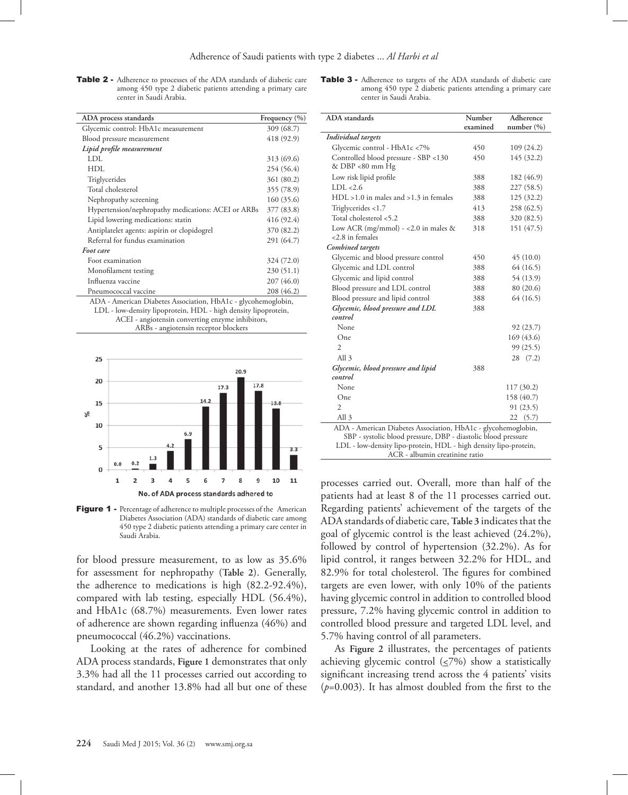Table 2 - Adherence to processes of the ADA standards of diabetic care among 450 type 2 diabetic patients attending a primary care center in Saudi Arabia.

Table 3 - Adherence to targets of the ADA standards of diabetic care among 450 type 2 diabetic patients attending a primary care center in Saudi Arabia.

| ADA process standards                              | Frequency $(\% )$ |
|----------------------------------------------------|-------------------|
| Glycemic control: HbA1c measurement                | 309 (68.7)        |
| Blood pressure measurement                         | 418 (92.9)        |
| Lipid profile measurement                          |                   |
| LDL.                                               | 313 (69.6)        |
| HDL                                                | 254 (56.4)        |
| Triglycerides                                      | 361 (80.2)        |
| Total cholesterol                                  | 355 (78.9)        |
| Nephropathy screening                              | 160(35.6)         |
| Hypertension/nephropathy medications: ACEI or ARBs | 377 (83.8)        |
| Lipid lowering medications: statin                 | 416 (92.4)        |
| Antiplatelet agents: aspirin or clopidogrel        | 370 (82.2)        |
| Referral for fundus examination                    | 291 (64.7)        |
| Foot care                                          |                   |
| Foot examination                                   | 324 (72.0)        |
| Monofilament testing                               | 230(51.1)         |
| Influenza vaccine                                  | 207 (46.0)        |
| Pneumococcal vaccine                               | 208 (46.2)        |

ADA - American Diabetes Association, HbA1c - glycohemoglobin, LDL - low-density lipoprotein, HDL - high density lipoprotein, ACEI - angiotensin converting enzyme inhibitors, ARBs - angiotensin receptor blockers



Figure 1 - Percentage of adherence to multiple processes of the American Diabetes Association (ADA) standards of diabetic care among 450 type 2 diabetic patients attending a primary care center in Saudi Arabia.

for blood pressure measurement, to as low as 35.6% for assessment for nephropathy (**Table 2**). Generally, the adherence to medications is high (82.2-92.4%), compared with lab testing, especially HDL (56.4%), and HbA1c (68.7%) measurements. Even lower rates of adherence are shown regarding influenza (46%) and pneumococcal (46.2%) vaccinations.

Looking at the rates of adherence for combined ADA process standards, **Figure 1** demonstrates that only 3.3% had all the 11 processes carried out according to standard, and another 13.8% had all but one of these

| <b>ADA</b> standards                                                                                                                                                                               | Number   | Adherence      |  |
|----------------------------------------------------------------------------------------------------------------------------------------------------------------------------------------------------|----------|----------------|--|
|                                                                                                                                                                                                    | examined | number $(\% )$ |  |
| Individual targets                                                                                                                                                                                 |          |                |  |
| Glycemic control - HbA1c <7%                                                                                                                                                                       | 450      | 109 (24.2)     |  |
| Controlled blood pressure - SBP <130<br>& DBP <80 mm Hg                                                                                                                                            | 450      | 145 (32.2)     |  |
| Low risk lipid profile                                                                                                                                                                             | 388      | 182 (46.9)     |  |
| LDL < 2.6                                                                                                                                                                                          | 388      | 227 (58.5)     |  |
| $HDL > 1.0$ in males and $>1.3$ in females                                                                                                                                                         | 388      | 125 (32.2)     |  |
| Triglycerides <1.7                                                                                                                                                                                 | 413      | 258 (62.5)     |  |
| Total cholesterol <5.2                                                                                                                                                                             | 388      | 320 (82.5)     |  |
| Low ACR (mg/mmol) - <2.0 in males $&$<br><2.8 in females                                                                                                                                           | 318      | 151 (47.5)     |  |
| <b>Combined</b> targets                                                                                                                                                                            |          |                |  |
| Glycemic and blood pressure control                                                                                                                                                                | 450      | 45(10.0)       |  |
| Glycemic and LDL control                                                                                                                                                                           | 388      | 64 (16.5)      |  |
| Glycemic and lipid control                                                                                                                                                                         | 388      | 54 (13.9)      |  |
| Blood pressure and LDL control                                                                                                                                                                     | 388      | 80 (20.6)      |  |
| Blood pressure and lipid control                                                                                                                                                                   | 388      | 64 (16.5)      |  |
| Glycemic, blood pressure and LDL                                                                                                                                                                   | 388      |                |  |
| control                                                                                                                                                                                            |          |                |  |
| None                                                                                                                                                                                               |          | 92 (23.7)      |  |
| One                                                                                                                                                                                                |          | 169 (43.6)     |  |
| $\overline{2}$                                                                                                                                                                                     |          | 99 (25.5)      |  |
| All <sub>3</sub>                                                                                                                                                                                   |          | (7.2)<br>28    |  |
| Glycemic, blood pressure and lipid                                                                                                                                                                 | 388      |                |  |
| control                                                                                                                                                                                            |          |                |  |
| None                                                                                                                                                                                               |          | 117 (30.2)     |  |
| One                                                                                                                                                                                                |          | 158 (40.7)     |  |
| $\overline{2}$                                                                                                                                                                                     |          | 91 (23.5)      |  |
| All <sub>3</sub>                                                                                                                                                                                   |          | 22<br>(5.7)    |  |
| ADA - American Diabetes Association, HbA1c - glycohemoglobin,<br>SBP - systolic blood pressure, DBP - diastolic blood pressure<br>LDL - low-density lipo-protein, HDL - high density lipo-protein, |          |                |  |
| ACR - albumin creatinine ratio                                                                                                                                                                     |          |                |  |

processes carried out. Overall, more than half of the patients had at least 8 of the 11 processes carried out. Regarding patients' achievement of the targets of the ADA standards of diabetic care, **Table 3** indicates that the goal of glycemic control is the least achieved (24.2%), followed by control of hypertension (32.2%). As for lipid control, it ranges between 32.2% for HDL, and 82.9% for total cholesterol. The figures for combined targets are even lower, with only 10% of the patients having glycemic control in addition to controlled blood pressure, 7.2% having glycemic control in addition to controlled blood pressure and targeted LDL level, and 5.7% having control of all parameters.

As **Figure 2** illustrates, the percentages of patients achieving glycemic control  $(≤7%)$  show a statistically significant increasing trend across the 4 patients' visits (*p*=0.003). It has almost doubled from the first to the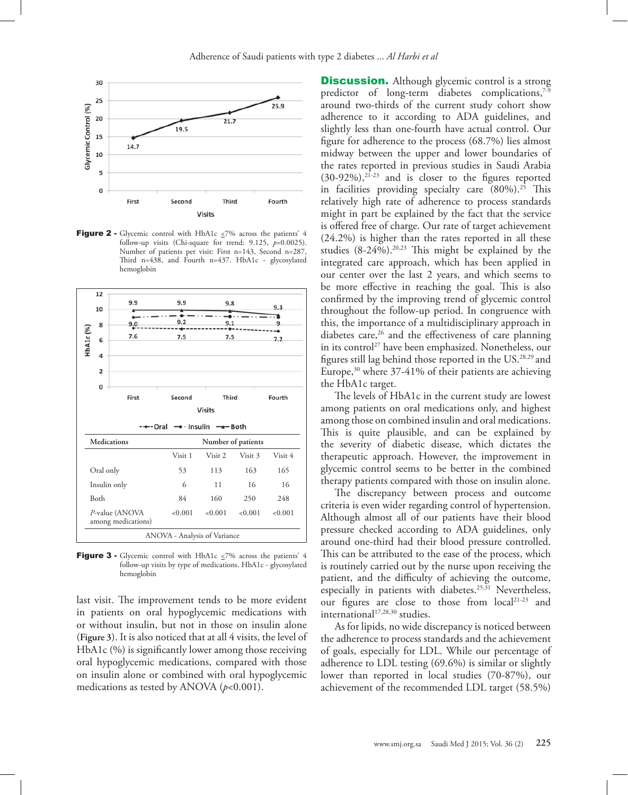

Figure 2 - Glycemic control with HbA1c  $\leq$ 7% across the patients' 4 follow-up visits (Chi-square for trend: 9.125, *p*=0.0025). Number of patients per visit: First n=143, Second n=287, Third n=438, and Fourth n=437. HbA1c - glycosylated hemoglobin



**Figure 3 -** Glycemic control with HbA1c  $\leq$ 7% across the patients' 4 follow-up visits by type of medications. HbA1c - glycosylated hemoglobin

last visit. The improvement tends to be more evident in patients on oral hypoglycemic medications with or without insulin, but not in those on insulin alone (**Figure 3**). It is also noticed that at all 4 visits, the level of HbA1c (%) is significantly lower among those receiving oral hypoglycemic medications, compared with those on insulin alone or combined with oral hypoglycemic medications as tested by ANOVA (*p*<0.001).

**Discussion.** Although glycemic control is a strong predictor of long-term diabetes complications, $7-9$ around two-thirds of the current study cohort show adherence to it according to ADA guidelines, and slightly less than one-fourth have actual control. Our figure for adherence to the process (68.7%) lies almost midway between the upper and lower boundaries of the rates reported in previous studies in Saudi Arabia  $(30-92\%)$ ,  $2\overline{1}$ -23 and is closer to the figures reported in facilities providing specialty care  $(80\%)$ .<sup>25</sup> This relatively high rate of adherence to process standards might in part be explained by the fact that the service is offered free of charge. Our rate of target achievement (24.2%) is higher than the rates reported in all these studies  $(8-24\%)$ .<sup>20,23</sup> This might be explained by the integrated care approach, which has been applied in our center over the last 2 years, and which seems to be more effective in reaching the goal. This is also confirmed by the improving trend of glycemic control throughout the follow-up period. In congruence with this, the importance of a multidisciplinary approach in diabetes care,<sup>26</sup> and the effectiveness of care planning in its control<sup>27</sup> have been emphasized. Nonetheless, our figures still lag behind those reported in the US.28,29 and Europe,<sup>30</sup> where 37-41% of their patients are achieving the HbA1c target.

The levels of HbA1c in the current study are lowest among patients on oral medications only, and highest among those on combined insulin and oral medications. This is quite plausible, and can be explained by the severity of diabetic disease, which dictates the therapeutic approach. However, the improvement in glycemic control seems to be better in the combined therapy patients compared with those on insulin alone.

The discrepancy between process and outcome criteria is even wider regarding control of hypertension. Although almost all of our patients have their blood pressure checked according to ADA guidelines, only around one-third had their blood pressure controlled. This can be attributed to the ease of the process, which is routinely carried out by the nurse upon receiving the patient, and the difficulty of achieving the outcome, especially in patients with diabetes.<sup>25,31</sup> Nevertheless, our figures are close to those from local<sup>21-23</sup> and international<sup>17,28,30</sup> studies.

As for lipids, no wide discrepancy is noticed between the adherence to process standards and the achievement of goals, especially for LDL. While our percentage of adherence to LDL testing (69.6%) is similar or slightly lower than reported in local studies (70-87%), our achievement of the recommended LDL target (58.5%)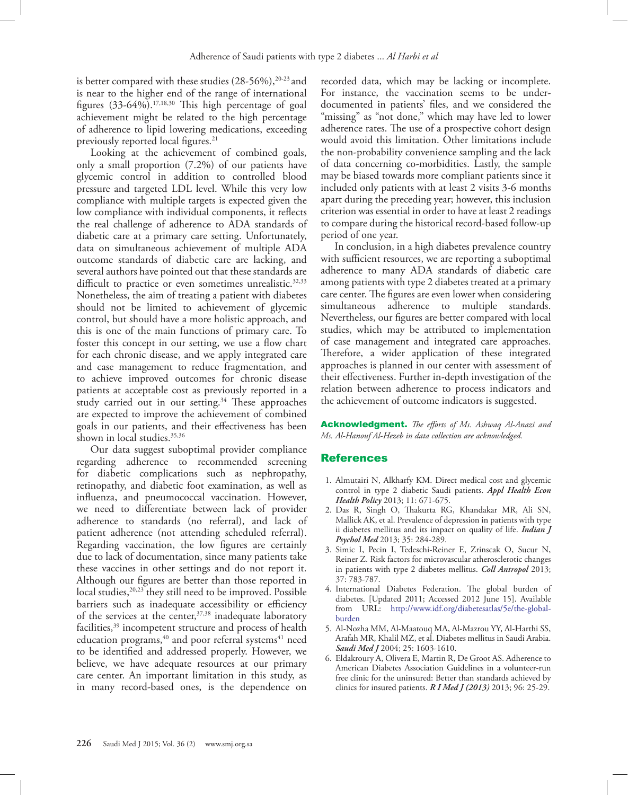is better compared with these studies (28-56%),<sup>20-23</sup> and is near to the higher end of the range of international figures  $(33-64\%)$ .<sup>17,18,30</sup> This high percentage of goal achievement might be related to the high percentage of adherence to lipid lowering medications, exceeding previously reported local figures.<sup>21</sup>

Looking at the achievement of combined goals, only a small proportion (7.2%) of our patients have glycemic control in addition to controlled blood pressure and targeted LDL level. While this very low compliance with multiple targets is expected given the low compliance with individual components, it reflects the real challenge of adherence to ADA standards of diabetic care at a primary care setting. Unfortunately, data on simultaneous achievement of multiple ADA outcome standards of diabetic care are lacking, and several authors have pointed out that these standards are difficult to practice or even sometimes unrealistic.<sup>32,33</sup> Nonetheless, the aim of treating a patient with diabetes should not be limited to achievement of glycemic control, but should have a more holistic approach, and this is one of the main functions of primary care. To foster this concept in our setting, we use a flow chart for each chronic disease, and we apply integrated care and case management to reduce fragmentation, and to achieve improved outcomes for chronic disease patients at acceptable cost as previously reported in a study carried out in our setting.<sup>34</sup> These approaches are expected to improve the achievement of combined goals in our patients, and their effectiveness has been shown in local studies.<sup>35,36</sup>

Our data suggest suboptimal provider compliance regarding adherence to recommended screening for diabetic complications such as nephropathy, retinopathy, and diabetic foot examination, as well as influenza, and pneumococcal vaccination. However, we need to differentiate between lack of provider adherence to standards (no referral), and lack of patient adherence (not attending scheduled referral). Regarding vaccination, the low figures are certainly due to lack of documentation, since many patients take these vaccines in other settings and do not report it. Although our figures are better than those reported in local studies,<sup>20,23</sup> they still need to be improved. Possible barriers such as inadequate accessibility or efficiency of the services at the center,<sup>37,38</sup> inadequate laboratory facilities,<sup>39</sup> incompetent structure and process of health education programs,<sup>40</sup> and poor referral systems<sup>41</sup> need to be identified and addressed properly. However, we believe, we have adequate resources at our primary care center. An important limitation in this study, as in many record-based ones, is the dependence on

recorded data, which may be lacking or incomplete. For instance, the vaccination seems to be underdocumented in patients' files, and we considered the "missing" as "not done," which may have led to lower adherence rates. The use of a prospective cohort design would avoid this limitation. Other limitations include the non-probability convenience sampling and the lack of data concerning co-morbidities. Lastly, the sample may be biased towards more compliant patients since it included only patients with at least 2 visits 3-6 months apart during the preceding year; however, this inclusion criterion was essential in order to have at least 2 readings to compare during the historical record-based follow-up period of one year.

In conclusion, in a high diabetes prevalence country with sufficient resources, we are reporting a suboptimal adherence to many ADA standards of diabetic care among patients with type 2 diabetes treated at a primary care center. The figures are even lower when considering simultaneous adherence to multiple standards. Nevertheless, our figures are better compared with local studies, which may be attributed to implementation of case management and integrated care approaches. Therefore, a wider application of these integrated approaches is planned in our center with assessment of their effectiveness. Further in-depth investigation of the relation between adherence to process indicators and the achievement of outcome indicators is suggested.

Acknowledgment. *The efforts of Ms. Ashwaq Al-Anazi and Ms. Al-Hanouf Al-Hezeb in data collection are acknowledged.*

## References

- <span id="page-5-0"></span> 1. [Almutairi N, Alkharfy KM. Direct medical cost and glycemic](http://dx.doi.org/10.1007/s40258-013-0065-6)  [control in type 2 diabetic Saudi patients.](http://dx.doi.org/10.1007/s40258-013-0065-6) *Appl Health Econ Health Policy* [2013; 11: 671-675.](http://dx.doi.org/10.1007/s40258-013-0065-6)
- 2. [Das R, Singh O, Thakurta RG, Khandakar MR, Ali SN,](http://dx.doi.org/10.4103/0253-7176.119502)  [Mallick AK, et al. Prevalence of depression in patients with type](http://dx.doi.org/10.4103/0253-7176.119502)  [ii diabetes mellitus and its impact on quality of life.](http://dx.doi.org/10.4103/0253-7176.119502) *Indian J Psychol Med* [2013; 35: 284-289.](http://dx.doi.org/10.4103/0253-7176.119502)
- <span id="page-5-1"></span> 3. [Simic I, Pecin I, Tedeschi-Reiner E, Zrinscak O, Sucur N,](http://www.ncbi.nlm.nih.gov/pubmed/24308217)  [Reiner Z. Risk factors for microvascular atherosclerotic changes](http://www.ncbi.nlm.nih.gov/pubmed/24308217)  [in patients with type 2 diabetes mellitus.](http://www.ncbi.nlm.nih.gov/pubmed/24308217) *Coll Antropol* 2013; [37: 783-787.](http://www.ncbi.nlm.nih.gov/pubmed/24308217)
- <span id="page-5-2"></span> 4. International Diabetes Federation. The global burden of diabetes. [Updated 2011; Accessed 2012 June 15]. Available from URL: http://www.idf.org/diabetesatlas/5e/the-globalburden
- <span id="page-5-3"></span> 5. Al-Nozha MM, Al-Maatouq MA, Al-Mazrou YY, Al-Harthi SS, Arafah MR, Khalil MZ, [et al. Diabetes mellitus in Saudi Arabia.](http://smj.psmmc.med.sa/index.php/smj/article/view/5037)  *Saudi Med J* [2004; 25: 1603-1610.](http://smj.psmmc.med.sa/index.php/smj/article/view/5037)
- <span id="page-5-4"></span> 6. Eldakroury A, Olivera E, Martin R, De Groot AS. Adherence to American Diabetes Association Guidelines in a volunteer-run free clinic for the uninsured: Better than standards achieved by clinics for insured patients. *R I Med J (2013)* 2013; 96: 25-29.